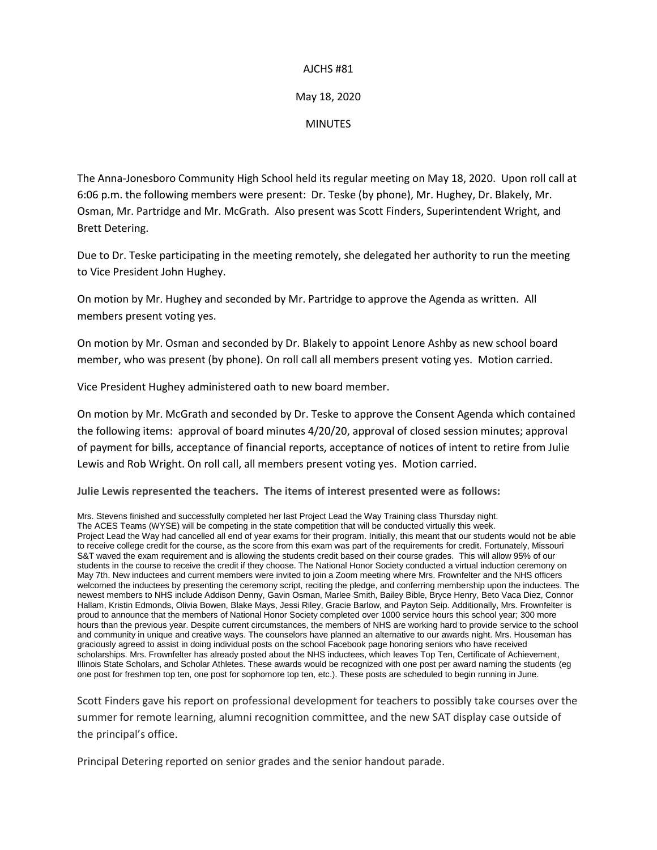#### AJCHS #81

### May 18, 2020

### MINUTES

The Anna-Jonesboro Community High School held its regular meeting on May 18, 2020. Upon roll call at 6:06 p.m. the following members were present: Dr. Teske (by phone), Mr. Hughey, Dr. Blakely, Mr. Osman, Mr. Partridge and Mr. McGrath. Also present was Scott Finders, Superintendent Wright, and Brett Detering.

Due to Dr. Teske participating in the meeting remotely, she delegated her authority to run the meeting to Vice President John Hughey.

On motion by Mr. Hughey and seconded by Mr. Partridge to approve the Agenda as written. All members present voting yes.

On motion by Mr. Osman and seconded by Dr. Blakely to appoint Lenore Ashby as new school board member, who was present (by phone). On roll call all members present voting yes. Motion carried.

Vice President Hughey administered oath to new board member.

On motion by Mr. McGrath and seconded by Dr. Teske to approve the Consent Agenda which contained the following items: approval of board minutes 4/20/20, approval of closed session minutes; approval of payment for bills, acceptance of financial reports, acceptance of notices of intent to retire from Julie Lewis and Rob Wright. On roll call, all members present voting yes. Motion carried.

**Julie Lewis represented the teachers. The items of interest presented were as follows:**

Mrs. Stevens finished and successfully completed her last Project Lead the Way Training class Thursday night. The ACES Teams (WYSE) will be competing in the state competition that will be conducted virtually this week. Project Lead the Way had cancelled all end of year exams for their program. Initially, this meant that our students would not be able to receive college credit for the course, as the score from this exam was part of the requirements for credit. Fortunately, Missouri S&T waved the exam requirement and is allowing the students credit based on their course grades. This will allow 95% of our students in the course to receive the credit if they choose. The National Honor Society conducted a virtual induction ceremony on May 7th. New inductees and current members were invited to join a Zoom meeting where Mrs. Frownfelter and the NHS officers welcomed the inductees by presenting the ceremony script, reciting the pledge, and conferring membership upon the inductees. The newest members to NHS include Addison Denny, Gavin Osman, Marlee Smith, Bailey Bible, Bryce Henry, Beto Vaca Diez, Connor Hallam, Kristin Edmonds, Olivia Bowen, Blake Mays, Jessi Riley, Gracie Barlow, and Payton Seip. Additionally, Mrs. Frownfelter is proud to announce that the members of National Honor Society completed over 1000 service hours this school year; 300 more hours than the previous year. Despite current circumstances, the members of NHS are working hard to provide service to the school and community in unique and creative ways. The counselors have planned an alternative to our awards night. Mrs. Houseman has graciously agreed to assist in doing individual posts on the school Facebook page honoring seniors who have received scholarships. Mrs. Frownfelter has already posted about the NHS inductees, which leaves Top Ten, Certificate of Achievement, Illinois State Scholars, and Scholar Athletes. These awards would be recognized with one post per award naming the students (eg one post for freshmen top ten, one post for sophomore top ten, etc.). These posts are scheduled to begin running in June.

Scott Finders gave his report on professional development for teachers to possibly take courses over the summer for remote learning, alumni recognition committee, and the new SAT display case outside of the principal's office.

Principal Detering reported on senior grades and the senior handout parade.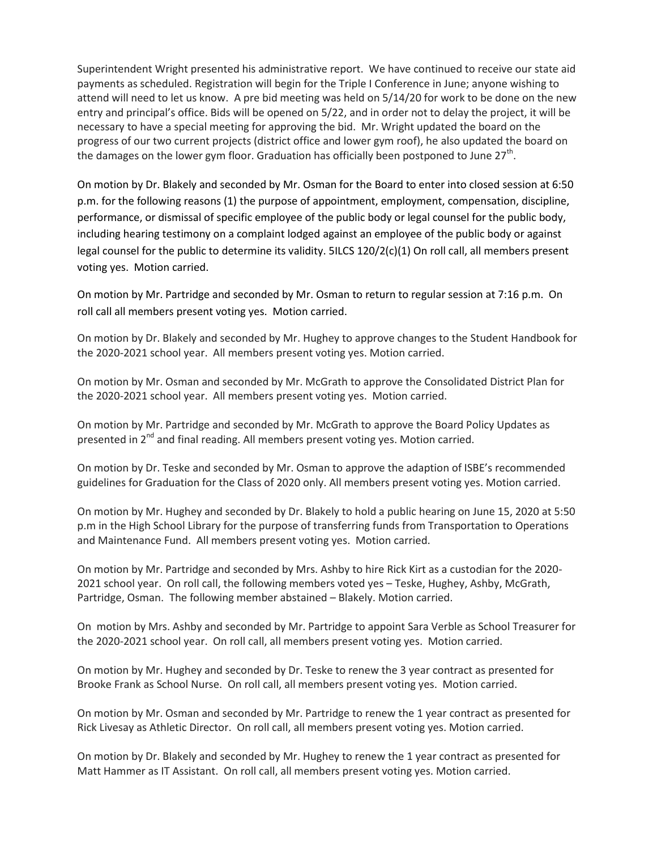Superintendent Wright presented his administrative report. We have continued to receive our state aid payments as scheduled. Registration will begin for the Triple I Conference in June; anyone wishing to attend will need to let us know. A pre bid meeting was held on 5/14/20 for work to be done on the new entry and principal's office. Bids will be opened on 5/22, and in order not to delay the project, it will be necessary to have a special meeting for approving the bid. Mr. Wright updated the board on the progress of our two current projects (district office and lower gym roof), he also updated the board on the damages on the lower gym floor. Graduation has officially been postponed to June 27<sup>th</sup>.

On motion by Dr. Blakely and seconded by Mr. Osman for the Board to enter into closed session at 6:50 p.m. for the following reasons (1) the purpose of appointment, employment, compensation, discipline, performance, or dismissal of specific employee of the public body or legal counsel for the public body, including hearing testimony on a complaint lodged against an employee of the public body or against legal counsel for the public to determine its validity. 5ILCS 120/2(c)(1) On roll call, all members present voting yes. Motion carried.

On motion by Mr. Partridge and seconded by Mr. Osman to return to regular session at 7:16 p.m. On roll call all members present voting yes. Motion carried.

On motion by Dr. Blakely and seconded by Mr. Hughey to approve changes to the Student Handbook for the 2020-2021 school year. All members present voting yes. Motion carried.

On motion by Mr. Osman and seconded by Mr. McGrath to approve the Consolidated District Plan for the 2020-2021 school year. All members present voting yes. Motion carried.

On motion by Mr. Partridge and seconded by Mr. McGrath to approve the Board Policy Updates as presented in  $2^{nd}$  and final reading. All members present voting yes. Motion carried.

On motion by Dr. Teske and seconded by Mr. Osman to approve the adaption of ISBE's recommended guidelines for Graduation for the Class of 2020 only. All members present voting yes. Motion carried.

On motion by Mr. Hughey and seconded by Dr. Blakely to hold a public hearing on June 15, 2020 at 5:50 p.m in the High School Library for the purpose of transferring funds from Transportation to Operations and Maintenance Fund. All members present voting yes. Motion carried.

On motion by Mr. Partridge and seconded by Mrs. Ashby to hire Rick Kirt as a custodian for the 2020- 2021 school year. On roll call, the following members voted yes – Teske, Hughey, Ashby, McGrath, Partridge, Osman. The following member abstained – Blakely. Motion carried.

On motion by Mrs. Ashby and seconded by Mr. Partridge to appoint Sara Verble as School Treasurer for the 2020-2021 school year. On roll call, all members present voting yes. Motion carried.

On motion by Mr. Hughey and seconded by Dr. Teske to renew the 3 year contract as presented for Brooke Frank as School Nurse. On roll call, all members present voting yes. Motion carried.

On motion by Mr. Osman and seconded by Mr. Partridge to renew the 1 year contract as presented for Rick Livesay as Athletic Director. On roll call, all members present voting yes. Motion carried.

On motion by Dr. Blakely and seconded by Mr. Hughey to renew the 1 year contract as presented for Matt Hammer as IT Assistant. On roll call, all members present voting yes. Motion carried.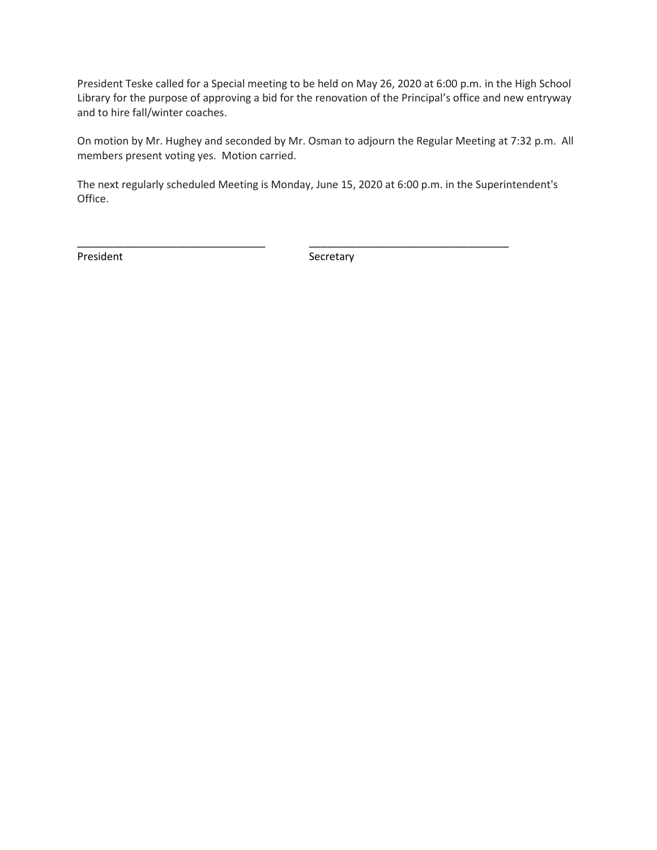President Teske called for a Special meeting to be held on May 26, 2020 at 6:00 p.m. in the High School Library for the purpose of approving a bid for the renovation of the Principal's office and new entryway and to hire fall/winter coaches.

On motion by Mr. Hughey and seconded by Mr. Osman to adjourn the Regular Meeting at 7:32 p.m. All members present voting yes. Motion carried.

The next regularly scheduled Meeting is Monday, June 15, 2020 at 6:00 p.m. in the Superintendent's Office.

\_\_\_\_\_\_\_\_\_\_\_\_\_\_\_\_\_\_\_\_\_\_\_\_\_\_\_\_\_\_\_\_ \_\_\_\_\_\_\_\_\_\_\_\_\_\_\_\_\_\_\_\_\_\_\_\_\_\_\_\_\_\_\_\_\_\_

President **Secretary**